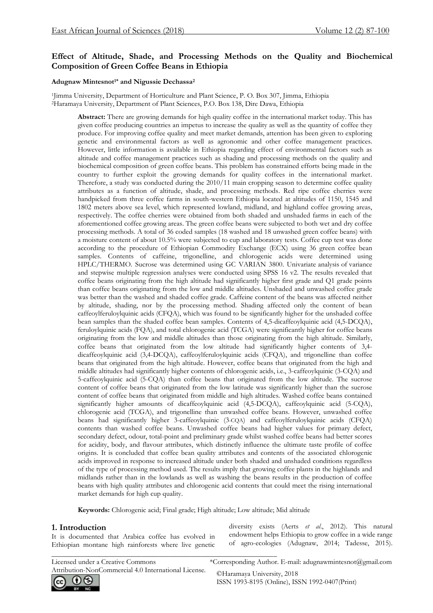## **Effect of Altitude, Shade, and Processing Methods on the Quality and Biochemical Composition of Green Coffee Beans in Ethiopia**

#### **Adugnaw Mintesnot1\* and Nigussie Dechassa<sup>2</sup>**

1 Jimma University, Department of Horticulture and Plant Science, P. O. Box 307, Jimma, Ethiopia <sup>2</sup>Haramaya University, Department of Plant Sciences, P.O. Box 138, Dire Dawa, Ethiopia

**Abstract:** There are growing demands for high quality coffee in the international market today. This has given coffee producing countries an impetus to increase the quality as well as the quantity of coffee they produce. For improving coffee quality and meet market demands, attention has been given to exploring genetic and environmental factors as well as agronomic and other coffee management practices. However, little information is available in Ethiopia regarding effect of environmental factors such as altitude and coffee management practices such as shading and processing methods on the quality and biochemical composition of green coffee beans. This problem has constrained efforts being made in the country to further exploit the growing demands for quality coffees in the international market. Therefore, a study was conducted during the 2010/11 main cropping season to determine coffee quality attributes as a function of altitude, shade, and processing methods. Red ripe coffee cherries were handpicked from three coffee farms in south-western Ethiopia located at altitudes of 1150, 1545 and 1802 meters above sea level, which represented lowland, midland, and highland coffee growing areas, respectively. The coffee cherries were obtained from both shaded and unshaded farms in each of the aforementioned coffee growing areas. The green coffee beans were subjected to both wet and dry coffee processing methods. A total of 36 coded samples (18 washed and 18 unwashed green coffee beans) with a moisture content of about 10.5% were subjected to cup and laboratory tests. Coffee cup test was done according to the procedure of Ethiopian Commodity Exchange (ECX) using 36 green coffee bean samples. Contents of caffeine, trigonelline, and chlorogenic acids were determined using HPLC/THERMO. Sucrose was determined using GC VARIAN 3800. Univariate analysis of variance and stepwise multiple regression analyses were conducted using SPSS 16 v2. The results revealed that coffee beans originating from the high altitude had significantly higher first grade and Q1 grade points than coffee beans originating from the low and middle altitudes. Unshaded and unwashed coffee grade was better than the washed and shaded coffee grade. Caffeine content of the beans was affected neither by altitude, shading, nor by the processing method. Shading affected only the content of bean caffeoylferuloylquinic acids (CFQA), which was found to be significantly higher for the unshaded coffee bean samples than the shaded coffee bean samples. Contents of 4,5-dicaffeoylquinic acid (4,5-DCQA), feruloylquinic acids (FQA), and total chlorogenic acid (TCGA) were significantly higher for coffee beans originating from the low and middle altitudes than those originating from the high altitude. Similarly, coffee beans that originated from the low altitude had significantly higher contents of 3,4 dicaffeoylquinic acid (3,4-DCQA), caffeoylferuloylquinic acids (CFQA), and trigonelline than coffee beans that originated from the high altitude. However, coffee beans that originated from the high and middle altitudes had significantly higher contents of chlorogenic acids, i.e., 3-caffeoylquinic (3-CQA) and 5-caffeoylquinic acid (5-CQA) than coffee beans that originated from the low altitude. The sucrose content of coffee beans that originated from the low latitude was significantly higher than the sucrose content of coffee beans that originated from middle and high altitudes. Washed coffee beans contained significantly higher amounts of dicaffeoylquinic acid (4,5-DCQA), caffeoylquinic acid (5-CQA), chlorogenic acid (TCGA), and trigonelline than unwashed coffee beans. However, unwashed coffee beans had significantly higher 3-caffeoylquinic (3-CQA) and caffeoylferuloylquinic acids (CFQA) contents than washed coffee beans. Unwashed coffee beans had higher values for primary defect, secondary defect, odour, total-point and preliminary grade whilst washed coffee beans had better scores for acidity, body, and flavour attributes, which distinctly influence the ultimate taste profile of coffee origins. It is concluded that coffee bean quality attributes and contents of the associated chlorogenic acids improved in response to increased altitude under both shaded and unshaded conditions regardless of the type of processing method used. The results imply that growing coffee plants in the highlands and midlands rather than in the lowlands as well as washing the beans results in the production of coffee beans with high quality attributes and chlorogenic acid contents that could meet the rising international market demands for high cup quality.

**Keywords:** Chlorogenic acid; Final grade; High altitude; Low altitude; Mid altitude

#### **1. Introduction**

It is documented that Arabica coffee has evolved in Ethiopian montane high rainforests where live genetic

\_\_\_\_\_\_\_\_\_\_\_\_\_\_\_\_\_\_\_\_\_\_\_\_\_\_\_\_\_\_\_\_\_\_\_\_\_\_\_\_\_\_\_\_\_\_\_\_\_\_\_\_\_\_\_\_\_\_\_\_\_\_

diversity exists (Aerts *et al*., 2012). This natural endowment helps Ethiopia to grow coffee in a wide range of agro-ecologies (Adugnaw, 2014; Tadesse, 2015).

Licensed under a Creative Commons \*Corresponding Author. E-mail: adugnawmintesnot@gmail.com Attribution-NonCommercial 4.0 International License. ©Haramaya University, 2018<br>
ISSN 1993-8195 (Online). IS

ISSN 1993-8195 (Online), ISSN 1992-0407(Print)

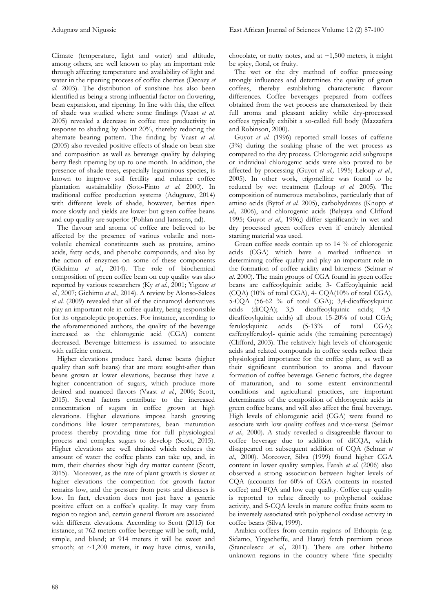Climate (temperature, light and water) and altitude, among others, are well known to play an important role through affecting temperature and availability of light and water in the ripening process of coffee cherries (Decazy *et al*. 2003). The distribution of sunshine has also been identified as being a strong influential factor on flowering, bean expansion, and ripening. In line with this, the effect of shade was studied where some findings (Vaast *et al*. 2005) revealed a decrease in coffee tree productivity in response to shading by about 20%, thereby reducing the alternate bearing pattern. The finding by Vaast *et al*. (2005) also revealed positive effects of shade on bean size and composition as well as beverage quality by delaying berry flesh ripening by up to one month. In addition, the presence of shade trees, especially leguminous species, is known to improve soil fertility and enhance coffee plantation sustainability (Soto-Pinto *et al*. 2000). In traditional coffee production systems (Adugnaw, 2014) with different levels of shade, however, berries ripen more slowly and yields are lower but green coffee beans and cup quality are superior (Pohlan and Janssens, nd).

 The flavour and aroma of coffee are believed to be affected by the presence of various volatile and nonvolatile chemical constituents such as proteins, amino acids, fatty acids, and phenolic compounds, and also by the action of enzymes on some of these components (Gichimu *et al*., 2014). The role of biochemical composition of green coffee bean on cup quality was also reported by various researchers (Ky *et al.*, 2001; Yigzaw *et al*., 2007; Gichimu *et al*., 2014). A review by Alonso-Salces *et al*. (2009) revealed that all of the cinnamoyl derivatives play an important role in coffee quality, being responsible for its organoleptic properties. For instance, according to the aforementioned authors, the quality of the beverage increased as the chlorogenic acid (CGA) content decreased. Beverage bitterness is assumed to associate with caffeine content.

 Higher elevations produce hard, dense beans (higher quality than soft beans) that are more sought-after than beans grown at lower elevations, because they have a higher concentration of sugars, which produce more desired and nuanced flavors (Vaast *et al.*, 2006; [Scott,](https://driftaway.coffee/author/scottdriftaway-co/)  2015). Several factors contribute to the increased concentration of sugars in coffee grown at high elevations. Higher elevations impose harsh growing conditions like lower temperatures, bean maturation process thereby providing time for full physiological process and complex sugars to develop [\(Scott,](https://driftaway.coffee/author/scottdriftaway-co/) 2015). Higher elevations are well drained which reduces the amount of water the coffee plants can take up, and, in turn, their cherries show high dry matter content [\(Scott,](https://driftaway.coffee/author/scottdriftaway-co/)  2015). Moreover, as the rate of plant growth is slower at higher elevations the competition for growth factor remains low, and the pressure from pests and diseases is low. In fact, elevation does not just have a generic positive effect on a coffee's quality. It may vary from region to region and, certain general flavors are associated with different elevations. According to [Scott](https://driftaway.coffee/author/scottdriftaway-co/) (2015) for instance, at 762 meters coffee beverage will be soft, mild, simple, and bland; at 914 meters it will be sweet and smooth; at  $\sim$ 1,200 meters, it may have citrus, vanilla,

chocolate, or nutty notes, and at  $\sim$ 1,500 meters, it might be spicy, floral, or fruity.

 The wet or the dry method of coffee processing strongly influences and determines the quality of green coffees, thereby establishing characteristic flavour differences. Coffee beverages prepared from coffees obtained from the wet process are characterized by their full aroma and pleasant acidity while dry-processed coffees typically exhibit a so-called full body (Mazzafera and Robinson, 2000).

Guyot et al. (1996) reported small losses of caffeine (3%) during the soaking phase of the wet process as compared to the dry process. Chlorogenic acid subgroups or individual chlorogenic acids were also proved to be affected by processing (Guyot *et al.,* 1995; Leloup *et al.,* 2005). In other work, trigonelline was found to be reduced by wet treatment (Leloup *et al.* 2005). The composition of numerous metabolites, particularly that of amino acids (Bytof *et al.* 2005), carbohydrates (Knopp *et al.,* 2006), and chlorogenic acids (Balyaya and Clifford 1995; Guyot *et al.,* 1996;) differ significantly in wet and dry processed green coffees even if entirely identical starting material was used.

 Green coffee seeds contain up to 14 % of chlorogenic acids (CGA) which have a marked influence in determining coffee quality and play an important role in the formation of coffee acidity and bitterness (Selmar *et al*. 2000). The main groups of CGA found in green coffee beans are caffeoylquinic acids; 3- Caffeoylquinic acid (CQA) (10% of total CGA), 4- CQA(10% of total CGA), 5-CQA (56-62 % of total CGA); 3,4-dicaffeoylquinic acids (diCQA); 3,5- dicaffeoylquinic acids; 4,5 dicaffeoylquinic acids) all about 15-20% of total CGA; feruloylquinic acids (5-13% of total CGA); caffeoylferuloyl- quinic acids (the remaining percentage) (Clifford, 2003). The relatively high levels of chlorogenic acids and related compounds in coffee seeds reflect their physiological importance for the coffee plant, as well as their significant contribution to aroma and flavour formation of coffee beverage. Genetic factors, the degree of maturation, and to some extent environmental conditions and agricultural practices, are important determinants of the composition of chlorogenic acids in green coffee beans, and will also affect the final beverage. High levels of chlorogenic acid (CGA) were found to associate with low quality coffees and vice-versa (Selmar *et al.,* 2000). A study revealed a disagreeable flavour to coffee beverage due to addition of diCQA, which disappeared on subsequent addition of CQA (Selmar *et al.,* 2000). Moreover, Silva (1999) found higher CGA content in lower quality samples. Farah *et al.* (2006) also observed a strong association between higher levels of CQA (accounts for 60% of CGA contents in roasted coffee) and FQA and low cup quality. Coffee cup quality is reported to relate directly to polyphenol oxidase activity, and 5-CQA levels in mature coffee fruits seem to be inversely associated with polyphenol oxidase activity in coffee beans (Silva, 1999).

 Arabica coffees from certain regions of Ethiopia (e.g. Sidamo, Yirgacheffe, and Harar) fetch premium prices (Stanculescu *et al.,* 2011). There are other hitherto unknown regions in the country where 'fine specialty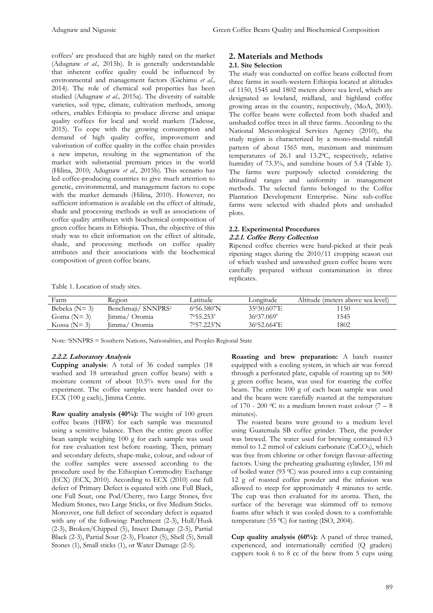coffees' are produced that are highly rated on the market (Adugnaw *et al.,* 2015b). It is generally understandable that inherent coffee quality could be influenced by environmental and management factors (Gichimu *et al.,* 2014). The role of chemical soil properties has been studied (Adugnaw *et al.,* 2015a). The diversity of suitable varieties, soil type, climate, cultivation methods, among others, enables Ethiopia to produce diverse and unique quality coffees for local and world markets (Tadesse, 2015). To cope with the growing consumption and demand of high quality coffee, improvement and valorisation of coffee quality in the coffee chain provides a new impetus, resulting in the segmentation of the market with substantial premium prices in the world (Hilina, 2010; Adugnaw *et al.,* 2015b). This scenario has led coffee-producing countries to give much attention to genetic, environmental, and management factors to cope with the market demands (Hilina, 2010). However, no sufficient information is available on the effect of altitude, shade and processing methods as well as associations of coffee quality attributes with biochemical composition of green coffee beans in Ethiopia. Thus, the objective of this study was to elicit information on the effect of altitude, shade, and processing methods on coffee quality attributes and their associations with the biochemical composition of green coffee beans.

# **2. Materials and Methods**

#### **2.1. Site Selection**

The study was conducted on coffee beans collected from three farms in south-western Ethiopia located at altitudes of 1150, 1545 and 1802 meters above sea level, which are designated as lowland, midland, and highland coffee growing areas in the country, respectively, (MoA, 2003). The coffee beans were collected from both shaded and unshaded coffee trees in all three farms. According to the National Meteorological Services Agency (2010), the study region is characterized by a mono-modal rainfall pattern of about 1565 mm, maximum and minimum temperatures of 26.1 and 13.2<sup>0</sup>C, respectively, relative humidity of 73.3%, and sunshine hours of 5.4 (Table 1). The farms were purposely selected considering the altitudinal ranges and uniformity in management methods. The selected farms belonged to the Coffee Plantation Development Enterprise. Nine sub-coffee farms were selected with shaded plots and unshaded plots.

#### **2.2. Experimental Procedures 2.2.1. Coffee Berry Collection**

Ripened coffee cherries were hand-picked at their peak ripening stages during the 2010/11 cropping season out of which washed and unwashed green coffee beans were carefully prepared without contamination in three replicates.

| Farm             | Region                         | Latitude           | Longitude       | Altitude (meters above sea level) |
|------------------|--------------------------------|--------------------|-----------------|-----------------------------------|
| Bebeka ( $N=3$ ) | Benchmaji/ SNNPRS <sup>1</sup> | $6^0$ 56.580'N     | 35030.607'E     | 1150                              |
| Goma $(N=3)$     | Jimma/ Oromia                  | $7^{\circ}55.253'$ | $36^{0}37.069'$ | 1545                              |
| Kossa ( $N=3$ )  | Jimma/ Oromia                  | 7057.223'N         | 36052.664'E     | 1802                              |

Note: <sup>1</sup>SNNPRS = Southern Nations, Nationalities, and Peoples Regional State

#### **2.2.2. Laboratory Analysis**

Table 1. Location of study sites.

**Cupping analysis**: A total of 36 coded samples (18 washed and 18 unwashed green coffee beans) with a moisture content of about 10.5% were used for the experiment. The coffee samples were handed over to ECX (100 g each), Jimma Centre.

**Raw quality analysis (40%):** The weight of 100 green coffee beans (HBW) for each sample was measured using a sensitive balance. Then the entire green coffee bean sample weighing 100 g for each sample was used for raw evaluation test before roasting. Then, primary and secondary defects, shape-make, colour, and odour of the coffee samples were assessed according to the procedure used by the Ethiopian Commodity Exchange (ECX) (ECX, 2010). According to ECX (2010) one full defect of Primary Defect is equated with one Full Black, one Full Sour, one Pod/Cherry, two Large Stones, five Medium Stones, two Large Sticks, or five Medium Sticks. Moreover, one full defect of secondary defect is equated with any of the following: Parchment (2-3), Hull/Husk (2-3), Broken/Chipped (5), Insect Damage (2-5), Partial Black (2-3), Partial Sour (2-3), Floater (5), Shell (5), Small Stones (1), Small sticks (1), or Water Damage (2-5).

**Roasting and brew preparation:** A batch roaster equipped with a cooling system, in which air was forced through a perforated plate, capable of roasting up to 500 g green coffee beans, was used for roasting the coffee beans. The entire 100 g of each bean sample was used and the beans were carefully roasted at the temperature of 170 - 200 °C to a medium brown roast colour (7 – 8) minutes).

 The roasted beans were ground to a medium level using Guatemala SB coffee grinder. Then, the powder was brewed. The water used for brewing contained 0.3 mmol to 1.2 mmol of calcium carbonate  $(CaCO<sub>3</sub>)$ , which was free from chlorine or other foreign flavour-affecting factors. Using the preheating graduating cylinder, 150 ml of boiled water (93 0C) was poured into a cup containing 12 g of roasted coffee powder and the infusion was allowed to steep for approximately 4 minutes to settle. The cup was then evaluated for its aroma. Then, the surface of the beverage was skimmed off to remove foams after which it was cooled down to a comfortable temperature (55  $\mathrm{^0C}$ ) for tasting (ISO, 2004).

**Cup quality analysis (60%):** A panel of three trained, experienced, and internationally certified (Q graders) cuppers took 6 to 8 cc of the brew from 5 cups using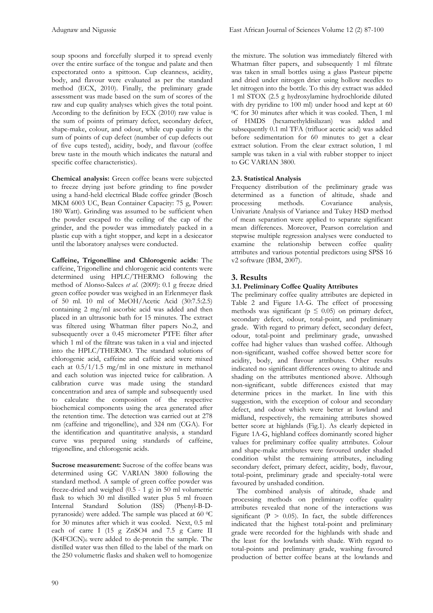soup spoons and forcefully slurped it to spread evenly over the entire surface of the tongue and palate and then expectorated onto a spittoon. Cup cleanness, acidity, body, and flavour were evaluated as per the standard method (ECX, 2010). Finally, the preliminary grade assessment was made based on the sum of scores of the raw and cup quality analyses which gives the total point. According to the definition by ECX (2010) raw value is the sum of points of primary defect, secondary defect, shape-make, colour, and odour, while cup quality is the sum of points of cup defect (number of cup defects out of five cups tested), acidity, body, and flavour (coffee brew taste in the mouth which indicates the natural and specific coffee characteristics).

**Chemical analysis:** Green coffee beans were subjected to freeze drying just before grinding to fine powder using a hand-held electrical Blade coffee grinder (Bosch MKM 6003 UC, Bean Container Capacity: 75 g, Power: 180 Watt). Grinding was assumed to be sufficient when the powder escaped to the ceiling of the cap of the grinder, and the powder was immediately packed in a plastic cup with a tight stopper, and kept in a desiccator until the laboratory analyses were conducted.

**Caffeine, Trigonelline and Chlorogenic acids**: The caffeine, Trigonelline and chlorogenic acid contents were determined using HPLC/THERMO following the method of Alonso-Salces *et al*. (2009): 0.1 g freeze dried green coffee powder was weighed in an Erlenmeyer flask of 50 ml. 10 ml of MeOH/Acetic Acid (30:7.5:2.5) containing 2 mg/ml ascorbic acid was added and then placed in an ultrasonic bath for 15 minutes. The extract was filtered using [Whatman filter papers](http://www.analytics-shop.com/gb/sample-preparation/filtration/whatman-filter/whatman-filterpapers.html) No.2, and subsequently over a 0.45 micrometer PTFE filter after which 1 ml of the filtrate was taken in a vial and injected into the HPLC/THERMO. The standard solutions of chlorogenic acid, caffeine and caffeic acid were mixed each at 0.5/1/1.5 mg/ml in one mixture in methanol and each solution was injected twice for calibration. A calibration curve was made using the standard concentration and area of sample and subsequently used to calculate the composition of the respective biochemical components using the area generated after the retention time. The detection was carried out at 278 nm (caffeine and trigonelline), and 324 nm (CGA). For the identification and quantitative analysis, a standard curve was prepared using standards of caffeine, trigonelline, and chlorogenic acids.

Sucrose measurement: Sucrose of the coffee beans was determined using GC VARIAN 3800 following the standard method. A sample of green coffee powder was freeze-dried and weighed (0.5 - 1 g) in 50 ml volumetric flask to which 30 ml distilled water plus 5 ml frozen Internal Standard Solution (ISS) (Phenyl-B-Dpyranoside) were added. The sample was placed at 60 0C for 30 minutes after which it was cooled. Next, 0.5 ml each of carre I (15 g ZnSO4 and 7.5 g Carre II (K4FClCN)6 were added to de-protein the sample. The distilled water was then filled to the label of the mark on the 250 volumetric flasks and shaken well to homogenize

the mixture. The solution was immediately filtered with [Whatman filter papers,](http://www.analytics-shop.com/gb/sample-preparation/filtration/whatman-filter/whatman-filterpapers.html) and subsequently 1 ml filtrate was taken in small bottles using a glass Pasteur pipette and dried under nitrogen drier using hollow needles to let nitrogen into the bottle. To this dry extract was added 1 ml STOX (2.5 g hydroxylamine hydrochloride diluted with dry pyridine to 100 ml) under hood and kept at 60 <sup>0</sup>C for 30 minutes after which it was cooled. Then, 1 ml of HMDS (hexamethyldisilazan) was added and subsequently 0.1 ml TFA (trifluor acetic acid) was added before sedimentation for 60 minutes to get a clear extract solution. From the clear extract solution, 1 ml sample was taken in a vial with rubber stopper to inject to GC VARIAN 3800.

## **2.3. Statistical Analysis**

Frequency distribution of the preliminary grade was determined as a function of altitude, shade and processing methods. Covariance analysis, Covariance Univariate Analysis of Variance and Tukey HSD method of mean separation were applied to separate significant mean differences. Moreover, Pearson correlation and stepwise multiple regression analyses were conducted to examine the relationship between coffee quality attributes and various potential predictors using SPSS 16 v2 software (IBM, 2007).

## **3. Results**

#### **3.1. Preliminary Coffee Quality Attributes**

The preliminary coffee quality attributes are depicted in Table 2 and Figure 1A-G. The effect of processing methods was significant ( $p \leq 0.05$ ) on primary defect, secondary defect, odour, total-point, and preliminary grade. With regard to primary defect, secondary defect, odour, total-point and preliminary grade, unwashed coffee had higher values than washed coffee. Although non-significant, washed coffee showed better score for acidity, body, and flavour attributes. Other results indicated no significant differences owing to altitude and shading on the attributes mentioned above. Although non-significant, subtle differences existed that may determine prices in the market. In line with this suggestion, with the exception of colour and secondary defect, and odour which were better at lowland and midland, respectively, the remaining attributes showed better score at highlands (Fig.1). As clearly depicted in Figure 1A-G, highland coffees dominantly scored higher values for preliminary coffee quality attributes. Colour and shape-make attributes were favoured under shaded condition whilst the remaining attributes, including secondary defect, primary defect, acidity, body, flavour, total-point, preliminary grade and specialty-total were favoured by unshaded condition.

 The combined analysis of altitude, shade and processing methods on preliminary coffee quality attributes revealed that none of the interactions was significant ( $P > 0.05$ ). In fact, the subtle differences indicated that the highest total-point and preliminary grade were recorded for the highlands with shade and the least for the lowlands with shade. With regard to total-points and preliminary grade, washing favoured production of better coffee beans at the lowlands and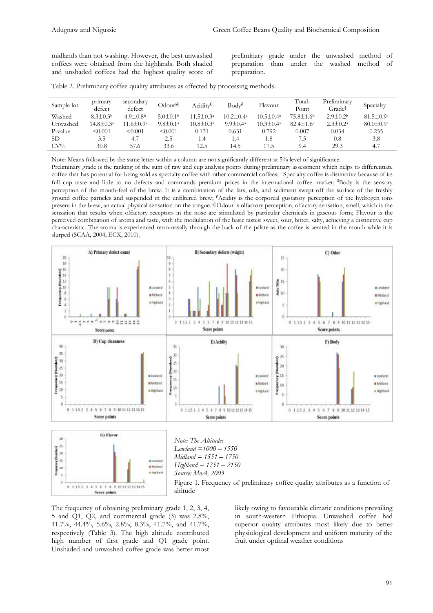midlands than not washing. However, the best unwashed coffees were obtained from the highlands. Both shaded and unshaded coffees had the highest quality score of

preliminary grade under the unwashed method of preparation than under the washed method of preparation.

|  |  |  |  |  |  |  |  | Table 2. Preliminary coffee quality attributes as affected by processing methods. |  |
|--|--|--|--|--|--|--|--|-----------------------------------------------------------------------------------|--|
|--|--|--|--|--|--|--|--|-----------------------------------------------------------------------------------|--|

| Sample lot | primary<br>defect | secondary<br>defect    | Odour@          | Acidity <sup>ε</sup>   | $Body^{\delta}$       | Flavour                | Total-<br>Point        | Preliminary<br>Grade†      | Specialty <sup>+</sup> |
|------------|-------------------|------------------------|-----------------|------------------------|-----------------------|------------------------|------------------------|----------------------------|------------------------|
| Washed     | $8.3 \pm 0.3b$    | $4.9 + 0.8b$           | $5.0 \pm 0.1$   | $11.5 \pm 0.3a$        | $10.2 \pm 0.4a$       | $10.5 \pm 0.4^{\circ}$ | $75.8 \pm 1.6$         | $2.9 \pm 0.2$              | $81.5 \pm 0.9^{\circ}$ |
| Unwashed   | $14.8 \pm 0.3^a$  | $11.6 \pm 0.9^{\circ}$ | $9.8 \pm 0.1^a$ | $10.8 \pm 0.3^{\circ}$ | $9.9 \pm 0.4^{\circ}$ | $10.3 \pm 0.4^a$       | $82.4 \pm 1.6^{\circ}$ | $2.3 \pm 0.2^{\mathrm{a}}$ | $80.0 \pm 0.9^{\circ}$ |
| P-value    | < 0.001           | < 0.001                | < 0.001         | 0.131                  | 0.631                 | 0.792                  | 0.007                  | 0.034                      | 0.235                  |
| <b>SD</b>  | 3.5               | 4.7                    | 2.5             | 1.4                    | 1.4                   | 1.8                    | 7.5                    | 0.8                        | 3.8                    |
| $CV\%$     | 30.8              | 57.6                   | 33.6            | 12.5                   | 14.5                  | l 7.5                  | 9.4                    | 29.3                       | 4.7                    |

Note: Means followed by the same letter within a column are not significantly different at 5% level of significance.

Preliminary grade is the ranking of the sum of raw and cup analysis points during preliminary assessment which helps to differentiate coffee that has potential for being sold as specialty coffee with other commercial coffees; <sup>+</sup>Specialty coffee is distinctive because of its full cup taste and little to no defects and commands premium prices in the international coffee market; <sup>8</sup>Body is the sensory perception of the mouth-feel of the brew. It is a combination of the fats, oils, and sediment swept off the surface of the freshly ground coffee particles and suspended in the unfiltered brew; <sup>E</sup>Acidity is the corporeal gustatory perception of the hydrogen ions present in the brew, an actual physical sensation on the tongue. @Odour is [olfactory perception,](https://www.vocabulary.com/dictionary/olfactory%20perception) [olfactory sensation,](https://www.vocabulary.com/dictionary/olfactory%20sensation) [smell,](https://www.vocabulary.com/dictionary/smell) which is the sensation that results when olfactory receptors in the nose are stimulated by particular chemicals in gaseous form; Flavour is the perceived combination of aroma and taste, with the modulation of the basic tastes: sweet, sour, bitter, salty, achieving a distinctive cup characteristic. The aroma is experienced retro-nasally through the back of the palate as the coffee is aerated in the mouth while it is slurped (SCAA, 2004; ECX, 2010).



The frequency of obtaining preliminary grade 1, 2, 3, 4, 5 and Q1, Q2, and commercial grade (3) was 2.8%, 41.7%, 44.4%, 5.6%, 2.8%, 8.3%, 41.7%, and 41.7%, respectively (Table 3). The high altitude contributed high number of first grade and Q1 grade point. Unshaded and unwashed coffee grade was better most

likely owing to favourable climatic conditions prevailing in south-western Ethiopia. Unwashed coffee had superior quality attributes most likely due to better physiological development and uniform maturity of the fruit under optimal weather conditions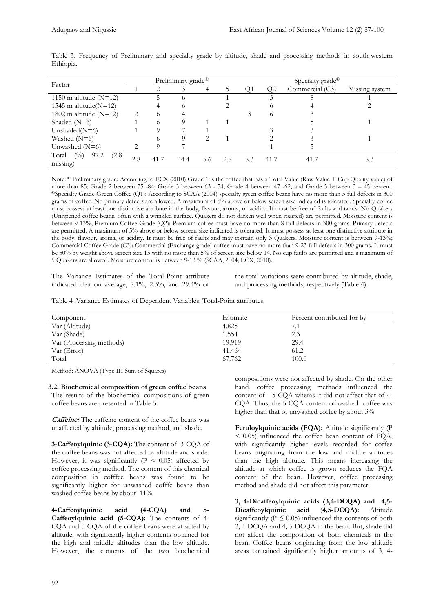| Factor                                   | Preliminary grade <sup>®</sup> |      |          |     |     | Specialty grade <sup>©</sup> |                |                 |                |  |
|------------------------------------------|--------------------------------|------|----------|-----|-----|------------------------------|----------------|-----------------|----------------|--|
|                                          |                                | ◠    |          |     | 5   | ( )1                         | O <sub>2</sub> | Commercial (C3) | Missing system |  |
| 1150 m altitude $(N=12)$                 |                                |      | $\Omega$ |     |     |                              |                |                 |                |  |
| 1545 m altitude( $N=12$ )                |                                |      | $\circ$  |     |     |                              |                |                 |                |  |
| 1802 m altitude $(N=12)$                 | 2                              | ∩    |          |     |     |                              |                |                 |                |  |
| Shaded $(N=6)$                           |                                |      |          |     |     |                              |                |                 |                |  |
| Unshaded( $N=6$ )                        |                                |      |          |     |     |                              |                |                 |                |  |
| Washed $(N=6)$                           |                                |      |          |     |     |                              |                |                 |                |  |
| Unwashed $(N=6)$                         |                                |      |          |     |     |                              |                |                 |                |  |
| $\binom{0}{0}$<br>Total<br>97.2<br>(2.8) | 2.8                            | 41.7 | 44.4     | 5.6 | 2.8 | 8.3                          | 41.7           | 41.7            | 8.3            |  |
| missing)                                 |                                |      |          |     |     |                              |                |                 |                |  |

Table 3. Frequency of Preliminary and specialty grade by altitude, shade and processing methods in south-western Ethiopia.

Note: ® Preliminary grade: According to ECX (2010) Grade 1 is the coffee that has a Total Value (Raw Value + Cup Quality value) of more than 85; Grade 2 between 75 -84; Grade 3 between 63 - 74; Grade 4 between 47 -62; and Grade 5 between 3 – 45 percent. ©Specialty Grade Green Coffee (Q1): According to SCAA (2004) specialty green coffee beans have no more than 5 full defects in 300 grams of coffee. No primary defects are allowed. A maximum of 5% above or below screen size indicated is tolerated. Specialty coffee must possess at least one distinctive attribute in the body, flavour, aroma, or acidity. It must be free of faults and taints. No Quakers (Unripened coffee beans, often with a wrinkled surface. Quakers do not darken well when roasted) are permitted. Moisture content is between 9-13%; Premium Coffee Grade (Q2): Premium coffee must have no more than 8 full defects in 300 grams. Primary defects are permitted. A maximum of 5% above or below screen size indicated is tolerated. It must possess at least one distinctive attribute in the body, flavour, aroma, or acidity. It must be free of faults and may contain only 3 Quakers. Moisture content is between 9-13%; Commercial Coffee Grade (C3): Commercial (Exchange grade) coffee must have no more than 9-23 full defects in 300 grams. It must be 50% by weight above screen size 15 with no more than 5% of screen size below 14. No cup faults are permitted and a maximum of 5 Quakers are allowed. Moisture content is between 9-13 % (SCAA, 2004; ECX, 2010).

The Variance Estimates of the Total-Point attribute indicated that on average, 7.1%, 2.3%, and 29.4% of the total variations were contributed by altitude, shade, and processing methods, respectively (Table 4).

Table 4 .Variance Estimates of Dependent Variables: Total-Point attributes.

| Component                | Estimate | Percent contributed for by |
|--------------------------|----------|----------------------------|
| Var (Altitude)           | 4.825    |                            |
| Var (Shade)              | 1.554    | 2.3                        |
| Var (Processing methods) | 19.919   | 29.4                       |
| Var (Error)              | 41.464   | 61.2                       |
| Total                    | 67.762   | 100.0                      |

Method: ANOVA (Type III Sum of Squares)

**3.2. Biochemical composition of green coffee beans**  The results of the biochemical compositions of green coffee beans are presented in Table 5.

**Caffeine:** The caffeine content of the coffee beans was unaffected by altitude, processing method, and shade.

**3-Caffeoylquinic (3-CQA):** The content of 3-CQA of the coffee beans was not affected by altitude and shade. However, it was significantly ( $P < 0.05$ ) affected by coffee processing method. The content of this chemical composition in cofffee beans was found to be significantly higher for unwashed cofffe beans than washed coffee beans by about 11%.

**4-Caffeoylquinic acid (4-CQA) and 5- Caffeoylquinic acid (5-CQA):** The contents of 4- CQA and 5-CQA of the coffee beans were affacted by altitude, with significantly higher contents obtained for the high and middle altitudes than the low altitude. However, the contents of the two biochemical

compositions were not affected by shade. On the other hand, coffee processing methods influenced the content of 5-CQA wheras it did not affect that of 4- CQA. Thus, the 5-CQA content of washed coffee was higher than that of unwashed coffee by about 3%.

**Feruloylquinic acids (FQA):** Altitude significantly (P < 0.05) influenced the coffee bean content of FQA, with significantly higher levels recorded for coffee beans originating from the low and middle altitudes than the high altitude. This means increasing the altitude at which coffee is grown reduces the FQA content of the bean. However, coffee processing method and shade did not affect this parameter.

**3, 4-Dicaffeoylquinic acids (3,4-DCQA) and 4,5- Dicaffeoylquinic acid** (**4,5-DCQA):** Altitude significantly ( $P \le 0.05$ ) influenced the contents of both 3, 4-DCQA and 4, 5-DCQA in the bean. But, shade did not affect the composition of both chemicals in the bean. Coffee beans originating from the low altitude areas contained significantly higher amounts of 3, 4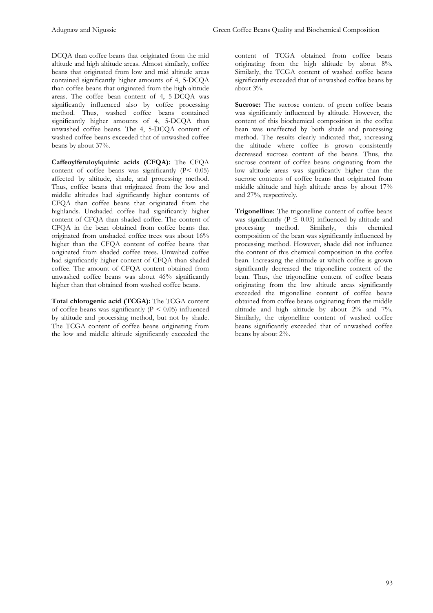DCQA than coffee beans that originated from the mid altitude and high altitude areas. Almost similarly, coffee beans that originated from low and mid altitude areas contained significantly higher amounts of 4, 5-DCQA than coffee beans that originated from the high altitude areas. The coffee bean content of 4, 5-DCQA was significantly influenced also by coffee processing method. Thus, washed coffee beans contained significantly higher amounts of 4, 5-DCQA than unwashed coffee beans. The 4, 5-DCQA content of washed coffee beans exceeded that of unwashed coffee beans by about 37%.

**Caffeoylferuloylquinic acids (CFQA):** The CFQA content of coffee beans was significantly  $(P< 0.05)$ affected by altitude, shade, and processing method. Thus, coffee beans that originated from the low and middle altitudes had significantly higher contents of CFQA than coffee beans that originated from the highlands. Unshaded coffee had significantly higher content of CFQA than shaded coffee. The content of CFQA in the bean obtained from coffee beans that originated from unshaded coffee trees was about 16% higher than the CFQA content of coffee beans that originated from shaded coffee trees. Unwahed coffee had significantly higher content of CFQA than shaded coffee. The amount of CFQA content obtained from unwashed coffee beans was about 46% significantly higher than that obtained from washed coffee beans.

**Total chlorogenic acid (TCGA):** The TCGA content of coffee beans was significantly ( $P < 0.05$ ) influenced by altitude and processing method, but not by shade. The TCGA content of coffee beans originating from the low and middle altitude significantly exceeded the content of TCGA obtained from coffee beans originating from the high altitude by about 8%. Similarly, the TCGA content of washed coffee beans significantly exceeded that of unwashed coffee beans by about 3%.

Sucrose: The sucrose content of green coffee beans was significantly influenced by altitude. However, the content of this biochemical composition in the coffee bean was unaffected by both shade and processing method. The results clearly indicated that, increasing the altitude where coffee is grown consistently decreased sucrose content of the beans. Thus, the sucrose content of coffee beans originating from the low altitude areas was significantly higher than the sucrose contents of coffee beans that originated from middle altitude and high altitude areas by about 17% and 27%, respectively.

**Trigonelline:** The trigonelline content of coffee beans was significantly ( $P \le 0.05$ ) influenced by altitude and processing method. Similarly, this chemical composition of the bean was significantly influenced by processing method. However, shade did not influence the content of this chemical composition in the coffee bean. Increasing the altitude at which coffee is grown significantly decreased the trigonelline content of the bean. Thus, the trigonelline content of coffee beans originating from the low altitude areas significantly exceeded the trigonelline content of coffee beans obtained from coffee beans originating from the middle altitude and high altitude by about 2% and 7%. Similarly, the trigonelline content of washed coffee beans significantly exceeded that of unwashed coffee beans by about 2%.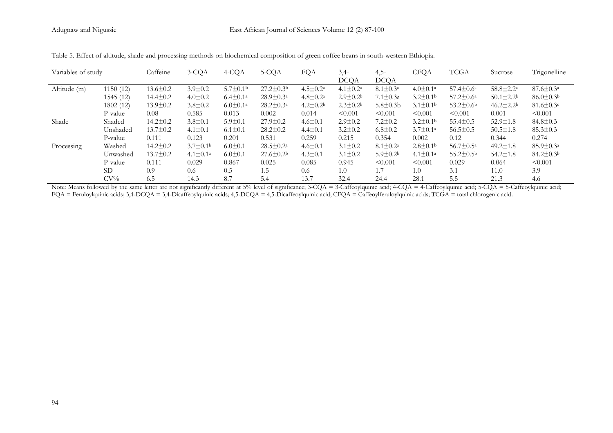| Variables of study |           | Caffeine       | 3-CQA                      | 4-CQA                      | 5-CQA                  | FQA                        | $3,4-$          | $4,5-$                   | <b>CFQA</b>                | <b>TCGA</b>                 | Sucrose                     | Trigonelline           |
|--------------------|-----------|----------------|----------------------------|----------------------------|------------------------|----------------------------|-----------------|--------------------------|----------------------------|-----------------------------|-----------------------------|------------------------|
|                    |           |                |                            |                            |                        |                            | <b>DCQA</b>     | <b>DCQA</b>              |                            |                             |                             |                        |
| Altitude (m)       | 1150(12)  | $13.6 \pm 0.2$ | $3.9 \pm 0.2$              | $5.7 \pm 0.1$ <sup>b</sup> | $27.2 \pm 0.3^{\rm b}$ | $4.5 \pm 0.2^{\mathrm{a}}$ | $4.1 \pm 0.2^a$ | $8.1 \pm 0.3^{\circ}$    | $4.0 \pm 0.1^a$            | $57.4 \pm 0.6^{\circ}$      | $58.8 \pm 2.2^{\mathrm{a}}$ | $87.6 \pm 0.3^{\circ}$ |
|                    | 1545(12)  | $14.4 \pm 0.2$ | $4.0 \pm 0.2$              | $6.4 \pm 0.1^a$            | $28.9 \pm 0.3^{\circ}$ | $4.8 \pm 0.2^{\mathrm{a}}$ | $2.9 \pm 0.2^b$ | $7.1 \pm 0.3a$           | $3.2 \pm 0.1^{\rm b}$      | $57.2 \pm 0.6^{\circ}$      | $50.1 \pm 2.2^b$            | $86.0 \pm 0.3b$        |
|                    | 1802(12)  | $13.9 \pm 0.2$ | $3.8 \pm 0.2$              | $6.0 \pm 0.1^{\circ}$      | $28.2 \pm 0.3^{\circ}$ | $4.2 \pm 0.2^b$            | $2.3 \pm 0.2^b$ | $5.8 \pm 0.3 b$          | $3.1 \pm 0.1^{\rm b}$      | $53.2 \pm 0.6^{\rm b}$      | $46.2 \pm 2.2^b$            | $81.6 \pm 0.3$ c       |
|                    | P-value   | 0.08           | 0.585                      | 0.013                      | 0.002                  | 0.014                      | < 0.001         | < 0.001                  | < 0.001                    | < 0.001                     | 0.001                       | < 0.001                |
| Shade              | Shaded    | $14.2 \pm 0.2$ | $3.8 \pm 0.1$              | $5.9 \pm 0.1$              | $27.9 \pm 0.2$         | $4.6 \pm 0.1$              | $2.9 \pm 0.2$   | $7.2 \pm 0.2$            | $3.2 \pm 0.1$ <sup>b</sup> | $55.4 \pm 0.5$              | $52.9 \pm 1.8$              | $84.8 \pm 0.3$         |
|                    | Unshaded  | $13.7 \pm 0.2$ | $4.1 \pm 0.1$              | $6.1 \pm 0.1$              | $28.2 \pm 0.2$         | $4.4 \pm 0.1$              | $3.2 \pm 0.2$   | $6.8 \pm 0.2$            | $3.7 \pm 0.1^a$            | $56.5 \pm 0.5$              | $50.5 \pm 1.8$              | $85.3 \pm 0.3$         |
|                    | P-value   | 0.111          | 0.123                      | 0.201                      | 0.531                  | 0.259                      | 0.215           | 0.354                    | 0.002                      | 0.12                        | 0.344                       | 0.274                  |
| Processing         | Washed    | $14.2 \pm 0.2$ | $3.7 \pm 0.1$ <sup>b</sup> | $6.0 \pm 0.1$              | $28.5 \pm 0.2^a$       | $4.6 \pm 0.1$              | $3.1 \pm 0.2$   | $8.1 \pm 0.2^{\text{a}}$ | $2.8 \pm 0.1$ <sup>b</sup> | $56.7 \pm 0.5^{\mathrm{a}}$ | $49.2 \pm 1.8$              | $85.9 \pm 0.3^{\circ}$ |
|                    | Unwashed  | $13.7 \pm 0.2$ | $4.1 \pm 0.1^a$            | $6.0 \pm 0.1$              | $27.6 \pm 0.2^b$       | $4.3 \pm 0.1$              | $3.1 \pm 0.2$   | $5.9 \pm 0.2^b$          | $4.1 \pm 0.1^a$            | $55.2 \pm 0.5^{\rm b}$      | $54.2 \pm 1.8$              | $84.2 \pm 0.3^{\rm b}$ |
|                    | P-value   | 0.111          | 0.029                      | 0.867                      | 0.025                  | 0.085                      | 0.945           | < 0.001                  | < 0.001                    | 0.029                       | 0.064                       | < 0.001                |
|                    | <b>SD</b> | 0.9            | 0.6                        | 0.5                        | 1.5                    | 0.6                        | 1.0             | 1.7                      | 1.0                        | 3.1                         | 11.0                        | 3.9                    |
|                    | $CV\%$    | 6.5            | 14.3                       | 8.7                        | 5.4                    | 13.7                       | 32.4            | 24.4                     | 28.1                       | 5.5                         | 21.3                        | 4.6                    |

Table 5. Effect of altitude, shade and processing methods on biochemical composition of green coffee beans in south-western Ethiopia.

Note: Means followed by the same letter are not significantly different at 5% level of significance; 3-CQA = 3-Caffeoylquinic acid; 4-CQA = 4-Caffeoylquinic acid; 5-CQA = 5-Caffeoylquinic acid;  $FQA = Feruloylquinc acids; 3,4-DCQA = 3,4-Dicaffeoylquinc acids; 4,5-DCQA = 4,5-Dicaffeoylquinc acid; CFQA = Caffeoylquinc acids; TCGA = total chlorogenic acid.$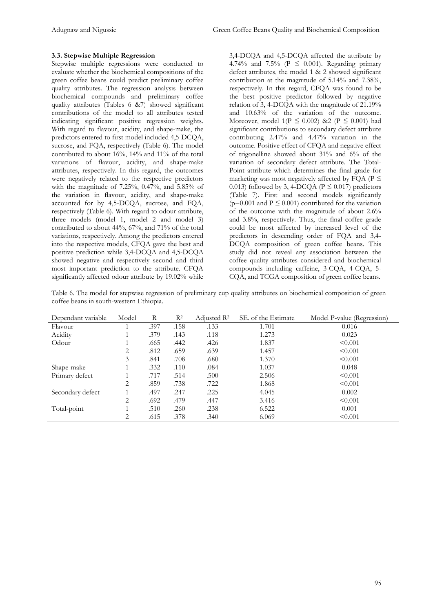#### **3.3. Stepwise Multiple Regression**

Stepwise multiple regressions were conducted to evaluate whether the biochemical compositions of the green coffee beans could predict preliminary coffee quality attributes. The regression analysis between biochemical compounds and preliminary coffee quality attributes (Tables 6 &7) showed significant contributions of the model to all attributes tested indicating significant positive regression weights. With regard to flavour, acidity, and shape-make, the predictors entered to first model included 4,5-DCQA, sucrose, and FQA, respectively (Table 6). The model contributed to about 16%, 14% and 11% of the total variations of flavour, acidity, and shape-make attributes, respectively. In this regard, the outcomes were negatively related to the respective predictors with the magnitude of 7.25%, 0.47%, and 5.85% of the variation in flavour, acidity, and shape-make accounted for by 4,5-DCQA, sucrose, and FQA, respectively (Table 6). With regard to odour attribute, three models (model 1, model 2 and model 3) contributed to about 44%, 67%, and 71% of the total variations, respectively. Among the predictors entered into the respective models, CFQA gave the best and positive prediction while 3,4-DCQA and 4,5-DCQA showed negative and respectively second and third most important prediction to the attribute. CFQA significantly affected odour attribute by 19.02% while

3,4-DCQA and 4,5-DCQA affected the attribute by 4.74% and 7.5% ( $P \le 0.001$ ). Regarding primary defect attributes, the model 1 & 2 showed significant contribution at the magnitude of 5.14% and 7.38%, respectively. In this regard, CFQA was found to be the best positive predictor followed by negative relation of 3, 4-DCQA with the magnitude of 21.19% and 10.63% of the variation of the outcome. Moreover, model  $1(P \le 0.002)$  &2  $(P \le 0.001)$  had significant contributions to secondary defect attribute contributing 2.47% and 4.47% variation in the outcome. Positive effect of CFQA and negative effect of trigonelline showed about 31% and 6% of the variation of secondary defect attribute. The Total-Point attribute which determines the final grade for marketing was most negatively affected by FQA ( $P \leq$ 0.013) followed by 3, 4-DCQA ( $P \le 0.017$ ) predictors (Table 7). First and second models significantly ( $p=0.001$  and  $P \le 0.001$ ) contributed for the variation of the outcome with the magnitude of about 2.6% and 3.8%, respectively. Thus, the final coffee grade could be most affected by increased level of the predictors in descending order of FQA and 3,4- DCQA composition of green coffee beans. This study did not reveal any association between the coffee quality attributes considered and biochemical compounds including caffeine, 3-CQA, 4-CQA, 5- CQA, and TCGA composition of green coffee beans.

Table 6. The model for stepwise regression of preliminary cup quality attributes on biochemical composition of green coffee beans in south-western Ethiopia.

| Dependant variable | Model | R    | $\mathbb{R}^2$ | Adjusted $\mathbb{R}^2$ | SE, of the Estimate | Model P-value (Regression) |
|--------------------|-------|------|----------------|-------------------------|---------------------|----------------------------|
| Flavour            |       | .397 | .158           | .133                    | 1.701               | 0.016                      |
| Acidity            |       | .379 | .143           | .118                    | 1.273               | 0.023                      |
| Odour              |       | .665 | .442           | .426                    | 1.837               | < 0.001                    |
|                    | 2     | .812 | .659           | .639                    | 1.457               | < 0.001                    |
|                    | 3     | .841 | .708           | .680                    | 1.370               | < 0.001                    |
| Shape-make         |       | .332 | .110           | .084                    | 1.037               | 0.048                      |
| Primary defect     |       | .717 | .514           | .500                    | 2.506               | < 0.001                    |
|                    | 2     | .859 | .738           | .722                    | 1.868               | < 0.001                    |
| Secondary defect   |       | .497 | .247           | .225                    | 4.045               | 0.002                      |
|                    | 2     | .692 | .479           | .447                    | 3.416               | < 0.001                    |
| Total-point        |       | .510 | .260           | .238                    | 6.522               | 0.001                      |
|                    | 2     | .615 | .378           | .340                    | 6.069               | < 0.001                    |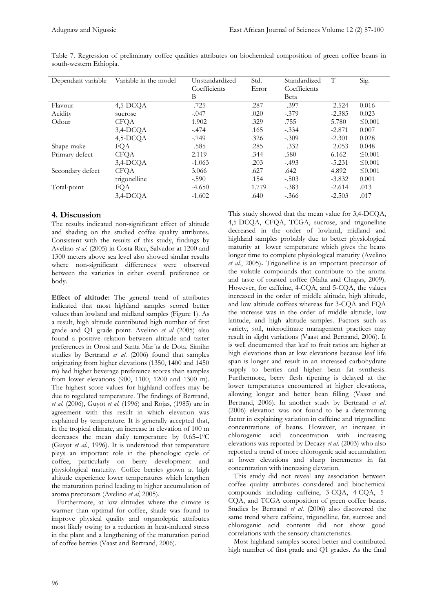| Dependant variable | Variable in the model | Unstandardized | Std.  | Standardized | T        | Sig.         |
|--------------------|-----------------------|----------------|-------|--------------|----------|--------------|
|                    |                       | Coefficients   | Error | Coefficients |          |              |
|                    |                       | В              |       | Beta         |          |              |
| Flavour            | 4,5-DCOA              | $-.725$        | .287  | $-.397$      | $-2.524$ | 0.016        |
| Acidity            | sucrose               | $-.047$        | .020  | $-.379$      | $-2.385$ | 0.023        |
| Odour              | <b>CFQA</b>           | 1.902          | .329  | .755         | 5.780    | $\leq 0.001$ |
|                    | $3,4$ -DCQA           | $-.474$        | .165  | $-.334$      | $-2.871$ | 0.007        |
|                    | 4,5-DCQA              | $-.749$        | .326  | $-.309$      | $-2.301$ | 0.028        |
| Shape-make         | FQA                   | $-.585$        | .285  | $-.332$      | $-2.053$ | 0.048        |
| Primary defect     | <b>CFQA</b>           | 2.119          | .344  | .580         | 6.162    | $\leq 0.001$ |
|                    | $3,4$ -DCOA           | $-1.063$       | .203  | $-.493$      | $-5.231$ | $\leq 0.001$ |
| Secondary defect   | <b>CFQA</b>           | 3.066          | .627  | .642         | 4.892    | $\leq 0.001$ |
|                    | trigonelline          | $-.590$        | .154  | $-.503$      | $-3.832$ | 0.001        |
| Total-point        | FQA                   | $-4.650$       | 1.779 | $-.383$      | $-2.614$ | .013         |
|                    | 3,4-DCOA              | $-1.602$       | .640  | $-.366$      | $-2.503$ | .017         |

Table 7. Regression of preliminary coffee qualities attributes on biochemical composition of green coffee beans in south-western Ethiopia.

## **4. Discussion**

The results indicated non-significant effect of altitude and shading on the studied coffee quality attributes. Consistent with the results of this study, findings by Avelino *et al*. (2005) in Costa Rica, Salvador at 1200 and 1300 meters above sea level also showed similar results where non-significant differences were observed between the varieties in either overall preference or body.

**Effect of altitude:** The general trend of attributes indicated that most highland samples scored better values than lowland and midland samples (Figure 1). As a result, high altitude contributed high number of first grade and Q1 grade point. Avelino *et al* (2005) also found a positive relation between altitude and taster preferences in Orosi and Santa Mar´ıa de Dota. Similar studies by Bertrand *et al*. (2006) found that samples originating from higher elevations (1350, 1400 and 1450 m) had higher beverage preference scores than samples from lower elevations (900, 1100, 1200 and 1300 m). The highest score values for highland coffees may be due to regulated temperature. The findings of Bertrand, *et al*. (2006), Guyot *et al*. (1996) and Rojas, (1985) are in agreement with this result in which elevation was explained by temperature. It is generally accepted that, in the tropical climate, an increase in elevation of 100 m decreases the mean daily temperature by 0.65–1 0C (Guyot *et al*., 1996). It is understood that temperature plays an important role in the phenologic cycle of coffee, particularly on berry development and physiological maturity. Coffee berries grown at high altitude experience lower temperatures which lengthen the maturation period leading to higher accumulation of aroma precursors (Avelino *et al*, 2005).

 Furthermore, at low altitudes where the climate is warmer than optimal for coffee, shade was found to improve physical quality and organoleptic attributes most likely owing to a reduction in heat-induced stress in the plant and a lengthening of the maturation period of coffee berries (Vaast and Bertrand, 2006).

This study showed that the mean value for 3,4-DCQA, 4,5-DCQA, CFQA, TCGA, sucrose, and trigonelline decreased in the order of lowland, midland and highland samples probably due to better physiological maturity at lower temperature which gives the beans longer time to complete physiological maturity (Avelino *et al*., 2005)**.** Trigonelline is an important precursor of the volatile compounds that contribute to the aroma and taste of roasted coffee (Malta and Chagas, 2009). However, for caffeine, 4-CQA, and 5-CQA, the values increased in the order of middle altitude, high altitude, and low altitude coffees whereas for 3-CQA and FQA the increase was in the order of middle altitude, low latitude, and high altitude samples. Factors such as variety, soil, microclimate management practices may result in slight variations (Vaast and Bertrand, 2006). It is well documented that leaf to fruit ratios are higher at high elevations than at low elevations because leaf life span is longer and result in an increased carbohydrate supply to berries and higher bean fat synthesis. Furthermore, berry flesh ripening is delayed at the lower temperatures encountered at higher elevations, allowing longer and better bean filling (Vaast and Bertrand, 2006). In another study by Bertrand *et al*. (2006) elevation was not found to be a determining factor in explaining variation in caffeine and trigonelline concentrations of beans. However, an increase in chlorogenic acid concentration with increasing elevations was reported by Decazy *et al*. (2003) who also reported a trend of more chlorogenic acid accumulation at lower elevations and sharp increments in fat concentration with increasing elevation.

 This study did not reveal any association between coffee quality attributes considered and biochemical compounds including caffeine, 3-CQA, 4-CQA, 5- CQA, and TCGA composition of green coffee beans. Studies by Bertrand *et al*. (2006) also discovered the same trend where caffeine, trigonelline, fat, sucrose and chlorogenic acid contents did not show good correlations with the sensory characteristics.

 Most highland samples scored better and contributed high number of first grade and Q1 grades. As the final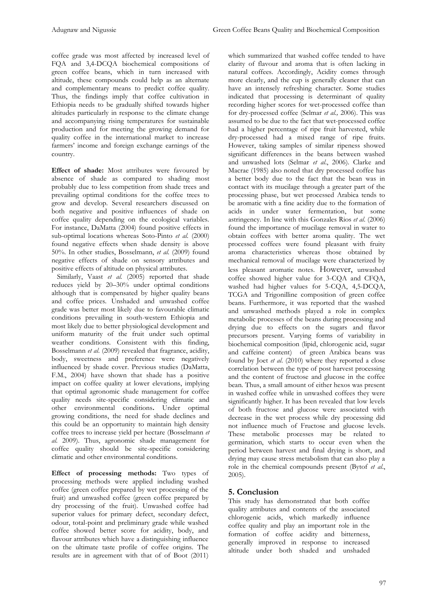coffee grade was most affected by increased level of FQA and 3,4-DCQA biochemical compositions of green coffee beans, which in turn increased with altitude, these compounds could help as an alternate and complementary means to predict coffee quality. Thus, the findings imply that coffee cultivation in Ethiopia needs to be gradually shifted towards higher altitudes particularly in response to the climate change and accompanying rising temperatures for sustainable production and for meeting the growing demand for quality coffee in the international market to increase farmers' income and foreign exchange earnings of the country.

**Effect of shade:** Most attributes were favoured by absence of shade as compared to shading most probably due to less competition from shade trees and prevailing optimal conditions for the coffee trees to grow and develop. Several researchers discussed on both negative and positive influences of shade on coffee quality depending on the ecological variables. For instance, DaMatta (2004) found positive effects in sub-optimal locations whereas Soto-Pinto *et al*. (2000) found negative effects when shade density is above 50%. In other studies, Bosselmann, *et al*. (2009) found negative effects of shade on sensory attributes and positive effects of altitude on physical attributes.

Similarly, Vaast *et al.* (2005) reported that shade reduces yield by 20–30% under optimal conditions although that is compensated by higher quality beans and coffee prices. Unshaded and unwashed coffee grade was better most likely due to favourable climatic conditions prevailing in south-western Ethiopia and most likely due to better physiological development and uniform maturity of the fruit under such optimal weather conditions. Consistent with this finding, Bosselmann *et al*. (2009) revealed that fragrance, acidity, body, sweetness and preference were negatively influenced by shade cover. Previous studies (DaMatta, F.M., 2004) have shown that shade has a positive impact on coffee quality at lower elevations, implying that optimal agronomic shade management for coffee quality needs site-specific considering climatic and other environmental conditions**.** Under optimal growing conditions, the need for shade declines and this could be an opportunity to maintain high density coffee trees to increase yield per hectare (Bosselmann *et al*. 2009). Thus, agronomic shade management for coffee quality should be site-specific considering climatic and other environmental conditions.

**Effect of processing methods:** Two types of processing methods were applied including washed coffee (green coffee prepared by wet processing of the fruit) and unwashed coffee (green coffee prepared by dry processing of the fruit). Unwashed coffee had superior values for primary defect, secondary defect, odour, total-point and preliminary grade while washed coffee showed better score for acidity, body, and flavour attributes which have a distinguishing influence on the ultimate taste profile of coffee origins. The results are in agreement with that of of Boot (2011) which summarized that washed coffee tended to have clarity of flavour and aroma that is often lacking in natural coffees. Accordingly, Acidity comes through more clearly, and the cup is generally cleaner that can have an intensely refreshing character. Some studies indicated that processing is determinant of quality recording higher scores for wet-processed coffee than for dry-processed coffee (Selmar *et al.,* 2006). This was assumed to be due to the fact that wet-processed coffee had a higher percentage of ripe fruit harvested, while dry-processed had a mixed range of ripe fruits. However, taking samples of similar ripeness showed significant differences in the beans between washed and unwashed lots (Selmar *et al*., 2006). Clarke and Macrae (1985) also noted that dry processed coffee has a better body due to the fact that the bean was in contact with its mucilage through a greater part of the processing phase, but wet processed Arabica tends to be aromatic with a fine acidity due to the formation of acids in under water fermentation, but some astringency. In line with this Gonzales Rios *et al*. (2006) found the importance of mucilage removal in water to obtain coffees with better aroma quality. The wet processed coffees were found pleasant with fruity aroma characteristics whereas those obtained by mechanical removal of mucilage were characterized by less pleasant aromatic notes. However, unwashed coffee showed higher value for 3-CQA and CFQA, washed had higher values for 5-CQA, 4,5-DCQA, TCGA and Trigonilline composition of green coffee beans. Furthermore, it was reported that the washed and unwashed methods played a role in complex metabolic processes of the beans during processing and drying due to effects on the sugars and flavor precursors present. Varying forms of variability in biochemical composition (lipid, chlorogenic acid, sugar and caffeine content) of green Arabica beans was found by Joet *et al*. (2010) where they reported a close correlation between the type of post harvest processing and the content of fructose and glucose in the coffee bean. Thus, a small amount of either hexos was present in washed coffee while in unwashed coffees they were significantly higher. It has been revealed that low levels of both fructose and glucose were associated with decrease in the wet process while dry processing did not influence much of Fructose and glucose levels. These metabolic processes may be related to germination, which starts to occur even when the period between harvest and final drying is short, and drying may cause stress metabolism that can also play a role in the chemical compounds present (Bytof *et al*., 2005).

# **5. Conclusion**

This study has demonstrated that both coffee quality attributes and contents of the associated chlorogenic acids, which markedly influence coffee quality and play an important role in the formation of coffee acidity and bitterness, generally improved in response to increased altitude under both shaded and unshaded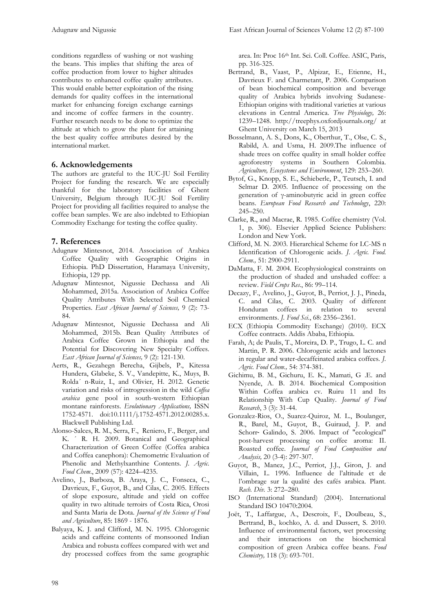conditions regardless of washing or not washing the beans. This implies that shifting the area of coffee production from lower to higher altitudes contributes to enhanced coffee quality attributes. This would enable better exploitation of the rising demands for quality coffees in the international market for enhancing foreign exchange earnings and income of coffee farmers in the country. Further research needs to be done to optimize the altitude at which to grow the plant for attaining the best quality coffee attributes desired by the international market.

## **6. Acknowledgements**

The authors are grateful to the IUC-JU Soil Fertility Project for funding the research. We are especially thankful for the laboratory facilities of Ghent University, Belgium through IUC-JU Soil Fertility Project for providing all facilities required to analyse the coffee bean samples. We are also indebted to Ethiopian Commodity Exchange for testing the coffee quality.

## **7. References**

- Adugnaw Mintesnot, 2014. Association of Arabica Coffee Quality with Geographic Origins in Ethiopia. PhD Dissertation, Haramaya University, Ethiopia, 129 pp.
- Adugnaw Mintesnot, Nigussie Dechassa and Ali Mohammed, 2015a. Association of Arabica Coffee Quality Attributes With Selected Soil Chemical Properties. *East African Journal of Sciences,* 9 (2): 73- 84.
- Adugnaw Mintesnot, Nigussie Dechassa and Ali Mohammed, 2015b. Bean Quality Attributes of Arabica Coffee Grown in Ethiopia and the Potential for Discovering New Specialty Coffees. *East African Journal of Sciences,* 9 (2): 121-130.
- Aerts, R., Gezahegn Berecha, Gijbels, P., Kitessa Hundera, Glabeke, S. V., Vandepitte, K., Muys, B. Rolda´ n-Ruiz, I., and Olivier, H. 2012. Genetic variation and risks of introgression in the wild *Coffea arabica* gene pool in south-western Ethiopian montane rainforests. *Evolutionary Applications,* ISSN 1752-4571. doi:10.1111/j.1752-4571.2012.00285.x. Blackwell Publishing Ltd.
- Alonso-Salces, R. M., Serra, F., Reniero, F., Berger, and K. ´ R. H. 2009. Botanical and Geographical Characterization of Green Coffee (Coffea arabica and Coffea canephora): Chemometric Evaluation of Phenolic and Methylxanthine Contents. *J. Agric. Food Chem*., 2009 (57): 4224–4235.
- Avelino, J., Barboza, B. Araya, J. C., Fonseca, C., Davrieux, F., Guyot, B., and Cilas, C. 2005. Effects of slope exposure, altitude and yield on coffee quality in two altitude terroirs of Costa Rica, Orosi and Santa Maria de Dota. *Journal of the Science of Food and Agriculture*, 85: 1869 - 1876.
- Balyaya, K. J. and Clifford, M. N. 1995. Chlorogenic acids and caffeine contents of monsooned Indian Arabica and robusta coffees compared with wet and dry processed coffees from the same geographic

area. In: Proc 16th Int. Sci. Coll. Coffee. ASIC, Paris, pp. 316-325.

- Bertrand, B., Vaast, P., Alpizar, E., Etienne, H., Davrieux F. and Charmetant, P. 2006. Comparison of bean biochemical composition and beverage quality of Arabica hybrids involving Sudanese-Ethiopian origins with traditional varieties at various elevations in Central America. *Tree Physiology,* 26: 1239–1248. http://treephys.oxfordjournals.org/ at Ghent University on March 15, 2013
- Bosselmann, A. S., Dons, K., Oberthur, T., Olse, C. S., Rabild, A. and Usma, H. 2009.The influence of shade trees on coffee quality in small holder coffee agroforestry systems in Southern Colombia. *Agriculture, Ecosystems and Environment*, 129: 253–260.
- Bytof, G., Knopp, S. E., Schieberle, P., Teutsch, I. and Selmar D. 2005. Influence of processing on the generation of γ-aminobutyric acid in green coffee beans. *European Food Research and Technology*, 220: 245–250.
- Clarke, R., and Macrae, R. 1985. Coffee chemistry (Vol. 1, p. 306). Elsevier Applied Science Publishers: London and New York.
- Clifford, M. N. 2003. Hierarchical Scheme for LC-MS n Identification of Chlorogenic acids. *J. Agric. Food. Chem.,* 51: 2900-2911.
- DaMatta, F. M. 2004. Ecophysiological constraints on the production of shaded and unshaded coffee: a review. *Field Crops Res*., 86: 99–114.
- Decazy, F., Avelino, J., Guyot, B., Perriot, J. J., Pineda, C. and Cilas, C. 2003. Quality of different Honduran coffees in relation to several environments. *J. Food Sci*., 68: 2356–2361.
- ECX (Ethiopia Commodity Exchange) (2010). ECX Coffee contracts. Addis Ababa, Ethiopia.
- Farah, A; de Paulis, T., Moreira, D. P., Trugo, L. C. and Martin, P. R. 2006. Chlorogenic acids and lactones in regular and water-decaffeinated arabica coffees. *J. Agric. Food Chem.,* 54: 374-381.
- Gichimu, B. M., Gichuru, E. K., Mamati, G .E. and Nyende, A. B. 2014. Biochemical Composition Within Coffea arabica cv. Ruiru 11 and Its Relationship With Cup Quality. *Journal of Food Research*, 3 (3): 31-44.
- Gonzalez-Rios, O., Suarez-Quiroz, M. L., Boulanger, R., Barel, M., Guyot, B., Guiraud, J. P. and Schorr‐ Galindo, S. 2006. Impact of "ecological" post-harvest processing on coffee aroma: II. Roasted coffee. *Journal of Food Composition and Analysis,* 20 (3-4): 297-307.
- Guyot, B., Manez, J.C., Perriot, J.J., Giron, J. and Villain, L. 1996. Influence de l'altitude et de l'ombrage sur la qualité des cafés arabica. Plant. *Rech. Dév.* 3: 272–280.
- ISO (International Standard) (2004). International Standard ISO 10470:2004.
- Joët, T., Laffargue, A., Descroix, F., Doulbeau, S., Bertrand, B., kochko, A. d. and Dussert, S. 2010. Influence of environmental factors, wet processing and their interactions on the biochemical composition of green Arabica coffee beans. *Food Chemistry,* 118 (3): 693-701.